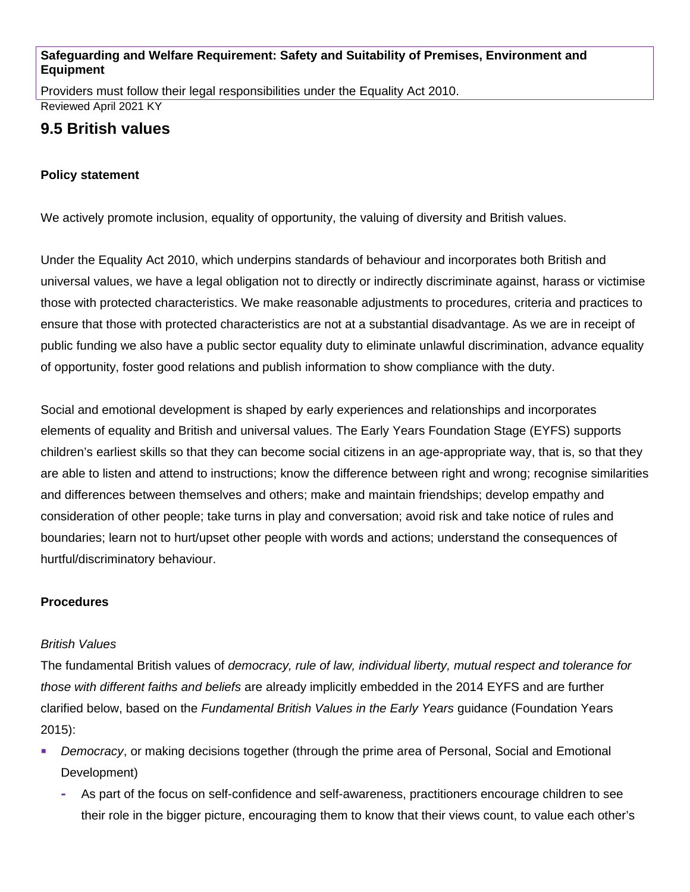#### **Safeguarding and Welfare Requirement: Safety and Suitability of Premises, Environment and Equipment**

Providers must follow their legal responsibilities under the Equality Act 2010. Reviewed April 2021 KY

# **9.5 British values**

### **Policy statement**

We actively promote inclusion, equality of opportunity, the valuing of diversity and British values.

Under the Equality Act 2010, which underpins standards of behaviour and incorporates both British and universal values, we have a legal obligation not to directly or indirectly discriminate against, harass or victimise those with protected characteristics. We make reasonable adjustments to procedures, criteria and practices to ensure that those with protected characteristics are not at a substantial disadvantage. As we are in receipt of public funding we also have a public sector equality duty to eliminate unlawful discrimination, advance equality of opportunity, foster good relations and publish information to show compliance with the duty.

Social and emotional development is shaped by early experiences and relationships and incorporates elements of equality and British and universal values. The Early Years Foundation Stage (EYFS) supports children's earliest skills so that they can become social citizens in an age-appropriate way, that is, so that they are able to listen and attend to instructions; know the difference between right and wrong; recognise similarities and differences between themselves and others; make and maintain friendships; develop empathy and consideration of other people; take turns in play and conversation; avoid risk and take notice of rules and boundaries; learn not to hurt/upset other people with words and actions; understand the consequences of hurtful/discriminatory behaviour.

#### **Procedures**

#### *British Values*

The fundamental British values of *democracy, rule of law, individual liberty, mutual respect and tolerance for those with different faiths and beliefs* are already implicitly embedded in the 2014 EYFS and are further clarified below, based on the *Fundamental British Values in the Early Years* guidance (Foundation Years 2015):

- *Democracy*, or making decisions together (through the prime area of Personal, Social and Emotional Development)
	- **-** As part of the focus on self-confidence and self-awareness, practitioners encourage children to see their role in the bigger picture, encouraging them to know that their views count, to value each other's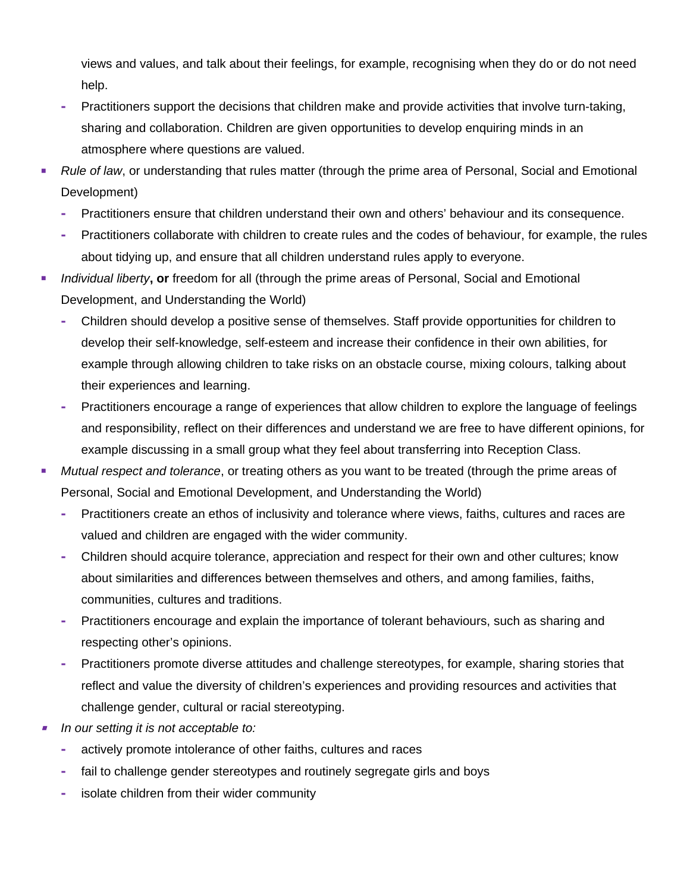views and values, and talk about their feelings, for example, recognising when they do or do not need help.

- **-** Practitioners support the decisions that children make and provide activities that involve turn-taking, sharing and collaboration. Children are given opportunities to develop enquiring minds in an atmosphere where questions are valued.
- *Rule of law*, or understanding that rules matter (through the prime area of Personal, Social and Emotional Development)
	- **-** Practitioners ensure that children understand their own and others' behaviour and its consequence.
	- **-** Practitioners collaborate with children to create rules and the codes of behaviour, for example, the rules about tidying up, and ensure that all children understand rules apply to everyone.
- **Individual liberty, or freedom for all (through the prime areas of Personal, Social and Emotional 4** Development, and Understanding the World)
	- **-** Children should develop a positive sense of themselves. Staff provide opportunities for children to develop their self-knowledge, self-esteem and increase their confidence in their own abilities, for example through allowing children to take risks on an obstacle course, mixing colours, talking about their experiences and learning.
	- **-** Practitioners encourage a range of experiences that allow children to explore the language of feelings and responsibility, reflect on their differences and understand we are free to have different opinions, for example discussing in a small group what they feel about transferring into Reception Class.
- *Mutual respect and tolerance*, or treating others as you want to be treated (through the prime areas of Personal, Social and Emotional Development, and Understanding the World)
	- **-** Practitioners create an ethos of inclusivity and tolerance where views, faiths, cultures and races are valued and children are engaged with the wider community.
	- **-** Children should acquire tolerance, appreciation and respect for their own and other cultures; know about similarities and differences between themselves and others, and among families, faiths, communities, cultures and traditions.
	- **-** Practitioners encourage and explain the importance of tolerant behaviours, such as sharing and respecting other's opinions.
	- **-** Practitioners promote diverse attitudes and challenge stereotypes, for example, sharing stories that reflect and value the diversity of children's experiences and providing resources and activities that challenge gender, cultural or racial stereotyping.
- П *In our setting it is not acceptable to:*
	- **-** actively promote intolerance of other faiths, cultures and races
	- **-** fail to challenge gender stereotypes and routinely segregate girls and boys
	- **-** isolate children from their wider community